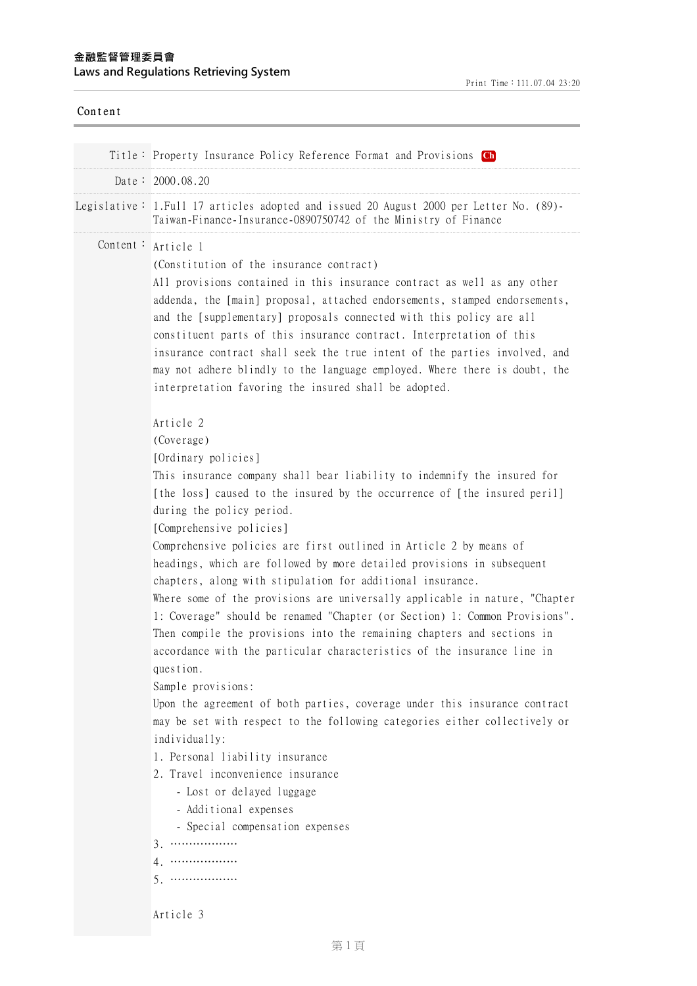| Title: Property Insurance Policy Reference Format and Provisions Ch<br>Date: $2000.08.20$<br>Legislative: 1. Full 17 articles adopted and issued 20 August 2000 per Letter No. (89)-<br>Taiwan-Finance-Insurance-0890750742 of the Ministry of Finance<br>Content:<br>Article 1<br>(Constitution of the insurance contract)<br>All provisions contained in this insurance contract as well as any other<br>addenda, the [main] proposal, attached endorsements, stamped endorsements,<br>and the [supplementary] proposals connected with this policy are all<br>constituent parts of this insurance contract. Interpretation of this<br>insurance contract shall seek the true intent of the parties involved, and<br>may not adhere blindly to the language employed. Where there is doubt, the<br>interpretation favoring the insured shall be adopted.<br>Article 2                                                                                                                                                                                                                                                                                                                      |  |
|----------------------------------------------------------------------------------------------------------------------------------------------------------------------------------------------------------------------------------------------------------------------------------------------------------------------------------------------------------------------------------------------------------------------------------------------------------------------------------------------------------------------------------------------------------------------------------------------------------------------------------------------------------------------------------------------------------------------------------------------------------------------------------------------------------------------------------------------------------------------------------------------------------------------------------------------------------------------------------------------------------------------------------------------------------------------------------------------------------------------------------------------------------------------------------------------|--|
|                                                                                                                                                                                                                                                                                                                                                                                                                                                                                                                                                                                                                                                                                                                                                                                                                                                                                                                                                                                                                                                                                                                                                                                              |  |
|                                                                                                                                                                                                                                                                                                                                                                                                                                                                                                                                                                                                                                                                                                                                                                                                                                                                                                                                                                                                                                                                                                                                                                                              |  |
|                                                                                                                                                                                                                                                                                                                                                                                                                                                                                                                                                                                                                                                                                                                                                                                                                                                                                                                                                                                                                                                                                                                                                                                              |  |
|                                                                                                                                                                                                                                                                                                                                                                                                                                                                                                                                                                                                                                                                                                                                                                                                                                                                                                                                                                                                                                                                                                                                                                                              |  |
| (Coverage)<br>[Ordinary policies]<br>This insurance company shall bear liability to indemnify the insured for<br>[the loss] caused to the insured by the occurrence of [the insured peril]<br>during the policy period.<br>[Comprehensive policies]<br>Comprehensive policies are first outlined in Article 2 by means of<br>headings, which are followed by more detailed provisions in subsequent<br>chapters, along with stipulation for additional insurance.<br>Where some of the provisions are universally applicable in nature, "Chapter<br>1: Coverage" should be renamed "Chapter (or Section) 1: Common Provisions".<br>Then compile the provisions into the remaining chapters and sections in<br>accordance with the particular characteristics of the insurance line in<br>question.<br>Sample provisions:<br>Upon the agreement of both parties, coverage under this insurance contract<br>may be set with respect to the following categories either collectively or<br>individually:<br>1. Personal liability insurance<br>2. Travel inconvenience insurance<br>- Lost or delayed luggage<br>- Additional expenses<br>- Special compensation expenses<br>$3.$<br>4.<br>$5.$ |  |
| Article 3                                                                                                                                                                                                                                                                                                                                                                                                                                                                                                                                                                                                                                                                                                                                                                                                                                                                                                                                                                                                                                                                                                                                                                                    |  |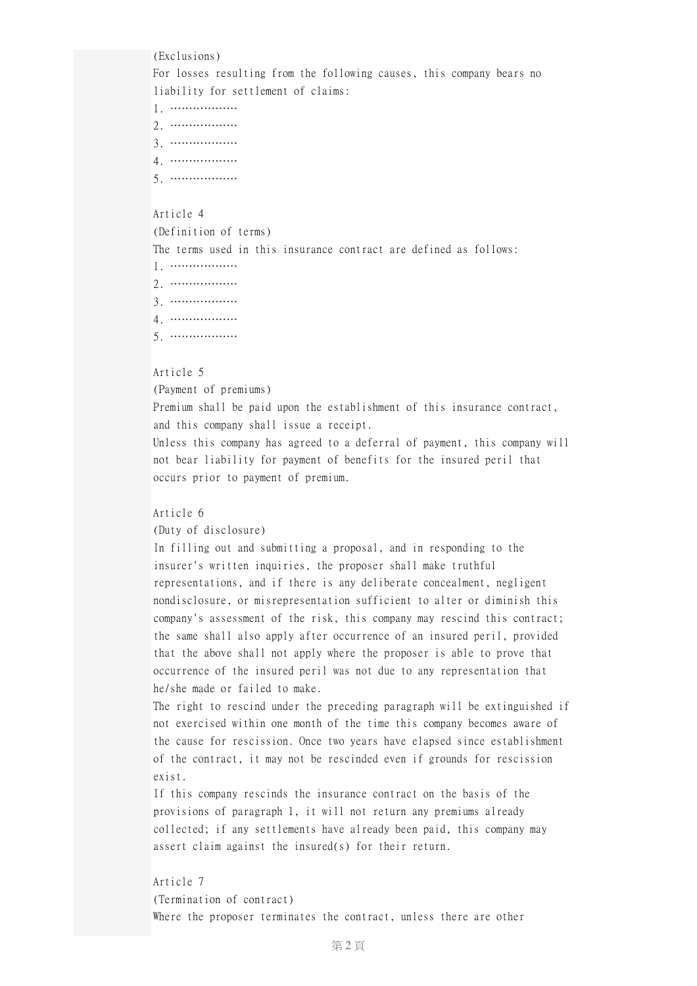(Exclusions)

For losses resulting from the following causes, this company bears no liability for settlement of claims:

- 1. ………………
- 2. ………………
- 3. ………………
- 4. ………………
- 5. ………………

# Article 4

## (Definition of terms)

The terms used in this insurance contract are defined as follows:

- 1. ………………
- 2. ………………
- 3. ………………
- 4. ………………
- 5. ………………

# Article 5

## (Payment of premiums)

Premium shall be paid upon the establishment of this insurance contract, and this company shall issue a receipt.

Unless this company has agreed to a deferral of payment, this company will not bear liability for payment of benefits for the insured peril that occurs prior to payment of premium.

# Article 6

(Duty of disclosure)

In filling out and submitting a proposal, and in responding to the insurer's written inquiries, the proposer shall make truthful representations, and if there is any deliberate concealment, negligent nondisclosure, or misrepresentation sufficient to alter or diminish this company's assessment of the risk, this company may rescind this contract; the same shall also apply after occurrence of an insured peril, provided that the above shall not apply where the proposer is able to prove that occurrence of the insured peril was not due to any representation that he/she made or failed to make.

The right to rescind under the preceding paragraph will be extinguished if not exercised within one month of the time this company becomes aware of the cause for rescission. Once two years have elapsed since establishment of the contract, it may not be rescinded even if grounds for rescission exist.

If this company rescinds the insurance contract on the basis of the provisions of paragraph 1, it will not return any premiums already collected; if any settlements have already been paid, this company may assert claim against the insured(s) for their return.

# Article 7

(Termination of contract) Where the proposer terminates the contract, unless there are other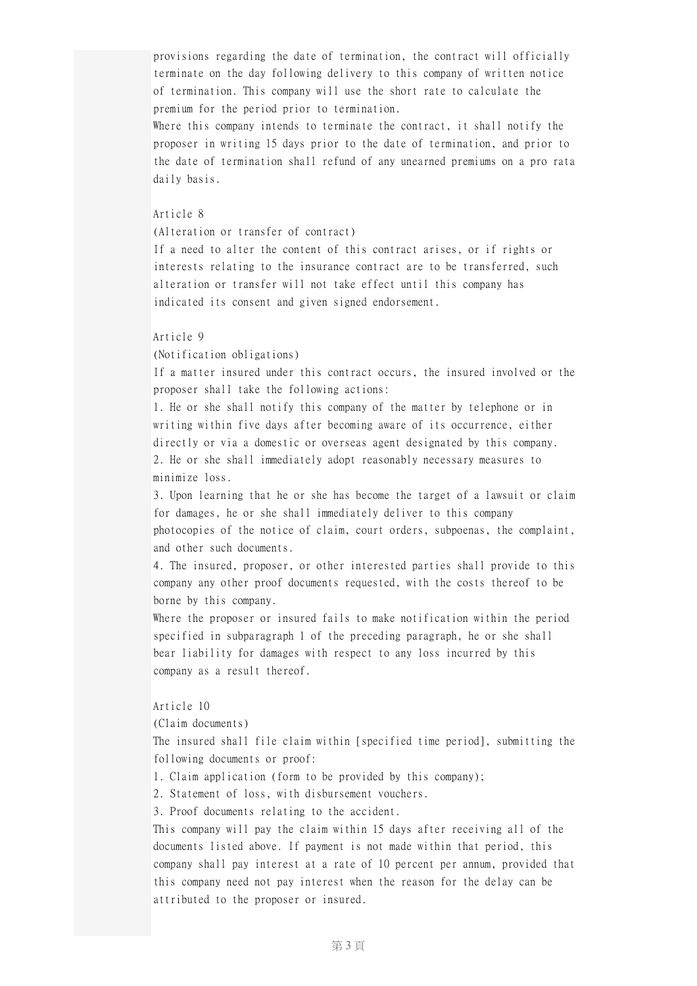provisions regarding the date of termination, the contract will officially terminate on the day following delivery to this company of written notice of termination. This company will use the short rate to calculate the premium for the period prior to termination.

Where this company intends to terminate the contract, it shall notify the proposer in writing 15 days prior to the date of termination, and prior to the date of termination shall refund of any unearned premiums on a pro rata daily basis.

## Article 8

(Alteration or transfer of contract)

If a need to alter the content of this contract arises, or if rights or interests relating to the insurance contract are to be transferred, such alteration or transfer will not take effect until this company has indicated its consent and given signed endorsement.

#### Article 9

(Notification obligations)

If a matter insured under this contract occurs, the insured involved or the proposer shall take the following actions:

1. He or she shall notify this company of the matter by telephone or in writing within five days after becoming aware of its occurrence, either directly or via a domestic or overseas agent designated by this company. 2. He or she shall immediately adopt reasonably necessary measures to minimize loss.

3. Upon learning that he or she has become the target of a lawsuit or claim for damages, he or she shall immediately deliver to this company photocopies of the notice of claim, court orders, subpoenas, the complaint, and other such documents.

4. The insured, proposer, or other interested parties shall provide to this company any other proof documents requested, with the costs thereof to be borne by this company.

Where the proposer or insured fails to make notification within the period specified in subparagraph 1 of the preceding paragraph, he or she shall bear liability for damages with respect to any loss incurred by this company as a result thereof.

#### Article 10

(Claim documents)

The insured shall file claim within [specified time period], submitting the following documents or proof:

- 1. Claim application (form to be provided by this company);
- 2. Statement of loss, with disbursement vouchers.
- 3. Proof documents relating to the accident.

This company will pay the claim within 15 days after receiving all of the documents listed above. If payment is not made within that period, this company shall pay interest at a rate of 10 percent per annum, provided that this company need not pay interest when the reason for the delay can be attributed to the proposer or insured.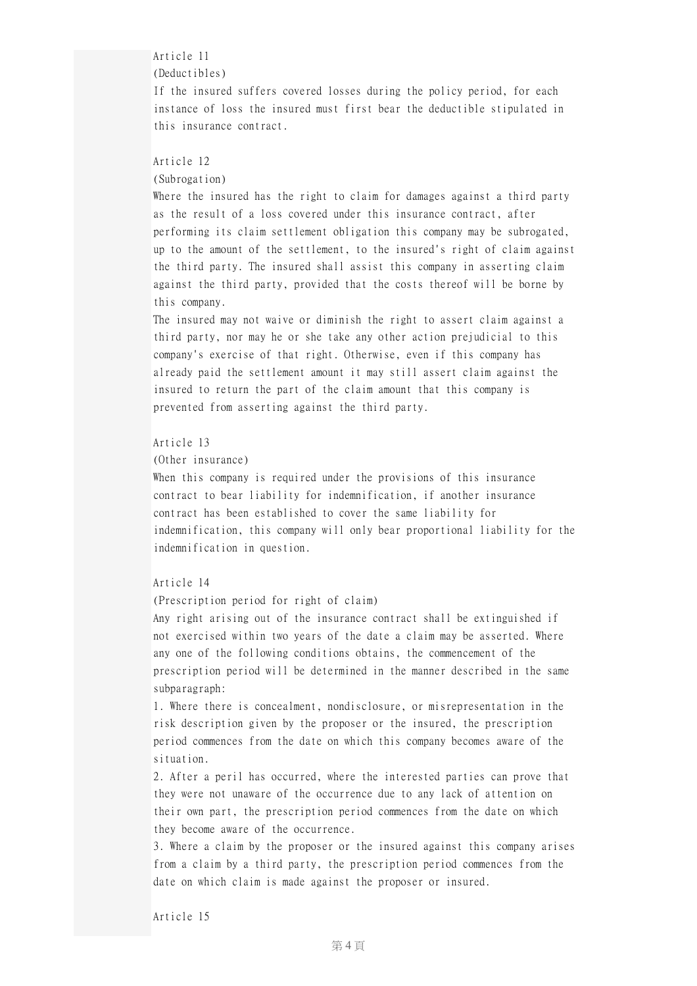## Article 11

## (Deductibles)

If the insured suffers covered losses during the policy period, for each instance of loss the insured must first bear the deductible stipulated in this insurance contract.

# Article 12

## (Subrogation)

Where the insured has the right to claim for damages against a third party as the result of a loss covered under this insurance contract, after performing its claim settlement obligation this company may be subrogated, up to the amount of the settlement, to the insured's right of claim against the third party. The insured shall assist this company in asserting claim against the third party, provided that the costs thereof will be borne by this company.

The insured may not waive or diminish the right to assert claim against a third party, nor may he or she take any other action prejudicial to this company's exercise of that right. Otherwise, even if this company has already paid the settlement amount it may still assert claim against the insured to return the part of the claim amount that this company is prevented from asserting against the third party.

## Article 13

# (Other insurance)

When this company is required under the provisions of this insurance contract to bear liability for indemnification, if another insurance contract has been established to cover the same liability for indemnification, this company will only bear proportional liability for the indemnification in question.

# Article 14

(Prescription period for right of claim)

Any right arising out of the insurance contract shall be extinguished if not exercised within two years of the date a claim may be asserted. Where any one of the following conditions obtains, the commencement of the prescription period will be determined in the manner described in the same subparagraph:

1. Where there is concealment, nondisclosure, or misrepresentation in the risk description given by the proposer or the insured, the prescription period commences from the date on which this company becomes aware of the situation.

2. After a peril has occurred, where the interested parties can prove that they were not unaware of the occurrence due to any lack of attention on their own part, the prescription period commences from the date on which they become aware of the occurrence.

3. Where a claim by the proposer or the insured against this company arises from a claim by a third party, the prescription period commences from the date on which claim is made against the proposer or insured.

## Article 15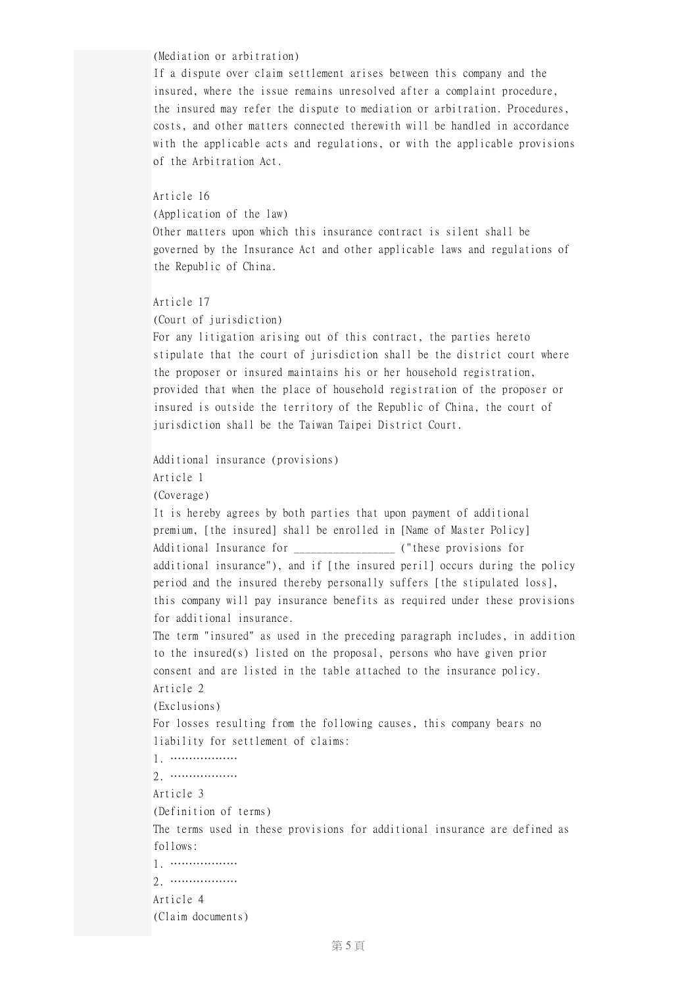## (Mediation or arbitration)

If a dispute over claim settlement arises between this company and the insured, where the issue remains unresolved after a complaint procedure, the insured may refer the dispute to mediation or arbitration. Procedures, costs, and other matters connected therewith will be handled in accordance with the applicable acts and regulations, or with the applicable provisions of the Arbitration Act.

## Article 16

(Application of the law)

Other matters upon which this insurance contract is silent shall be governed by the Insurance Act and other applicable laws and regulations of the Republic of China.

#### Article 17

(Court of jurisdiction)

For any litigation arising out of this contract, the parties hereto stipulate that the court of jurisdiction shall be the district court where the proposer or insured maintains his or her household registration, provided that when the place of household registration of the proposer or insured is outside the territory of the Republic of China, the court of jurisdiction shall be the Taiwan Taipei District Court.

```
Additional insurance (provisions)
Article 1
```
(Coverage)

It is hereby agrees by both parties that upon payment of additional premium, [the insured] shall be enrolled in [Name of Master Policy] Additional Insurance for  $($ "these provisions for additional insurance"), and if [the insured peril] occurs during the policy period and the insured thereby personally suffers [the stipulated loss], this company will pay insurance benefits as required under these provisions for additional insurance.

The term "insured" as used in the preceding paragraph includes, in addition to the insured(s) listed on the proposal, persons who have given prior consent and are listed in the table attached to the insurance policy. Article 2 (Exclusions)

For losses resulting from the following causes, this company bears no

liability for settlement of claims:

1. ……………… 2. ………………

Article 3

(Definition of terms)

The terms used in these provisions for additional insurance are defined as follows:

```
1. ………………
```
2. ………………

```
Article 4
```
(Claim documents)